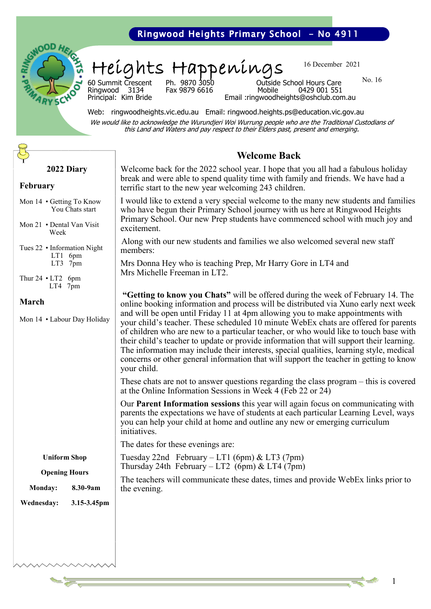# Ringwood Heights Primary School - No 4911



Heights Happenings

Ringwood 3134

16 December 2021

No. 16

60 Summit Crescent Ph. 9870 3050 Outside School Hours Care Principal: Kim Bride Email :ringwoodheights@oshclub.com.au

Web: ringwoodheights.vic.edu.au Email: ringwood.heights.ps@education.vic.gov.au We would like to acknowledge the Wurundjeri Woi Wurrung people who are the Traditional Custodians of this Land and Waters and pay respect to their Elders past, present and emerging.

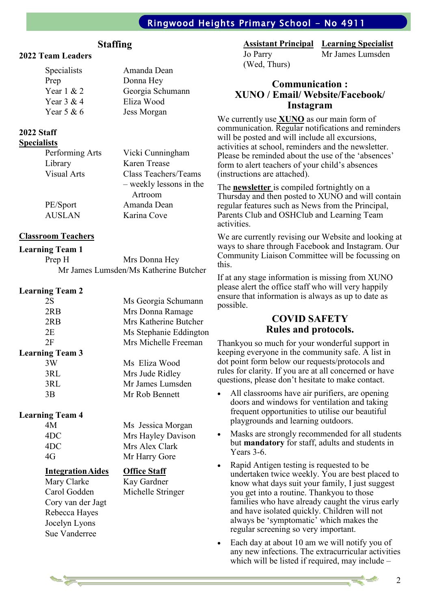# Ringwood Heights Primary School - No 4911

# **Staffing**

## **2022 Team Leaders**

| Amanda Dean      |
|------------------|
| Donna Hey        |
| Georgia Schumann |
| Eliza Wood       |
| Jess Morgan      |
|                  |

#### **2022 Staff Specialists**

| шэь                |                         |
|--------------------|-------------------------|
| Performing Arts    | Vicki Cunningham        |
| Library            | Karen Trease            |
| <b>Visual Arts</b> | Class Teachers/Teams    |
|                    | - weekly lessons in the |
|                    | Artroom                 |
| PE/Sport           | Amanda Dean             |
| <b>AUSLAN</b>      | Karina Cove             |
|                    |                         |

## **Classroom Teachers**

## **Learning Team 1**

Prep H Mrs Donna Hey Mr James Lumsden/Ms Katherine Butcher

## **Learning Team 2**

| 2S                     | Ms Georgia Schumann    |
|------------------------|------------------------|
| 2RB                    | Mrs Donna Ramage       |
| 2RB                    | Mrs Katherine Butcher  |
| 2E                     | Ms Stephanie Eddington |
| 2F                     | Mrs Michelle Freeman   |
| <b>Learning Team 3</b> |                        |
| 3W                     | Ms Eliza Wood          |
| 3RL                    | Mrs Jude Ridley        |
| 3RL                    | Mr James Lumsden       |
| 3 <sub>R</sub>         | Mr Rob Bennett         |
|                        |                        |

#### **Learning Team 4**

Cory van der Jagt Rebecca Hayes Jocelyn Lyons Sue Vanderree

4M Ms Jessica Morgan 4DC Mrs Hayley Davison 4DC Mrs Alex Clark 4G Mr Harry Gore

## **IntegrationAides Office Staff**

Mary Clarke Kay Gardner Carol Godden Michelle Stringer

#### **Assistant Principal Learning Specialist**

(Wed, Thurs)

Jo Parry Mr James Lumsden

## **Communication : XUNO / Email/ Website/Facebook/ Instagram**

We currently use **XUNO** as our main form of communication. Regular notifications and reminders will be posted and will include all excursions, activities at school, reminders and the newsletter. Please be reminded about the use of the 'absences' form to alert teachers of your child's absences (instructions are attached).

The **newsletter** is compiled fortnightly on a Thursday and then posted to XUNO and will contain regular features such as News from the Principal, Parents Club and OSHClub and Learning Team activities.

We are currently revising our Website and looking at ways to share through Facebook and Instagram. Our Community Liaison Committee will be focussing on this.

If at any stage information is missing from XUNO please alert the office staff who will very happily ensure that information is always as up to date as possible.

## **COVID SAFETY Rules and protocols.**

Thankyou so much for your wonderful support in keeping everyone in the community safe. A list in dot point form below our requests/protocols and rules for clarity. If you are at all concerned or have questions, please don't hesitate to make contact.

- All classrooms have air purifiers, are opening doors and windows for ventilation and taking frequent opportunities to utilise our beautiful playgrounds and learning outdoors.
- Masks are strongly recommended for all students but **mandatory** for staff, adults and students in Years 3-6.
- Rapid Antigen testing is requested to be undertaken twice weekly. You are best placed to know what days suit your family, I just suggest you get into a routine. Thankyou to those families who have already caught the virus early and have isolated quickly. Children will not always be 'symptomatic' which makes the regular screening so very important.
- Each day at about 10 am we will notify you of any new infections. The extracurricular activities which will be listed if required, may include –

2